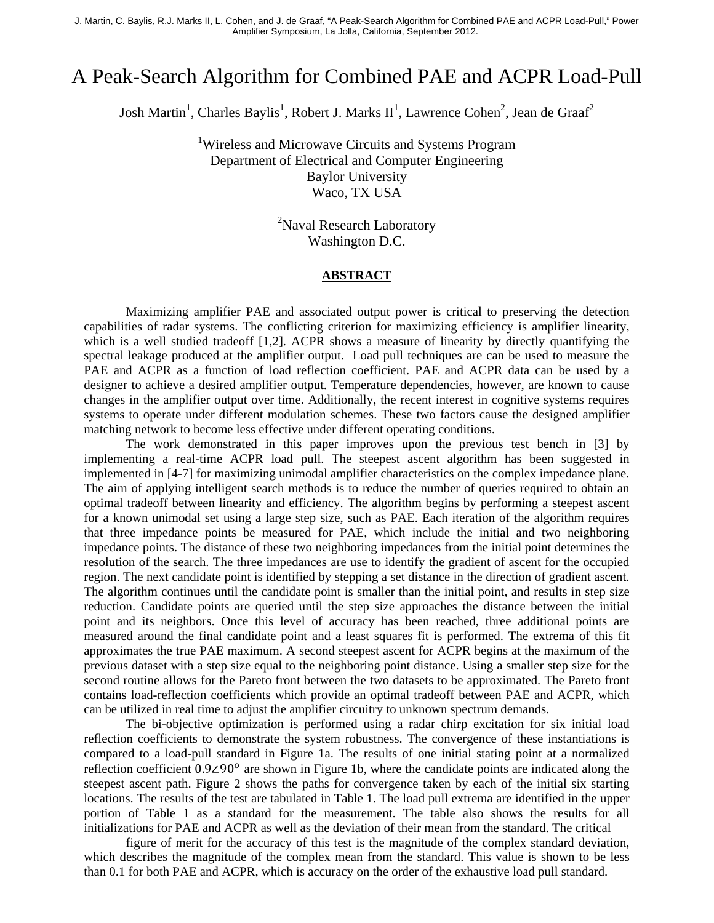J. Martin, C. Baylis, R.J. Marks II, L. Cohen, and J. de Graaf, "A Peak-Search Algorithm for Combined PAE and ACPR Load-Pull," Power Amplifier Symposium, La Jolla, California, September 2012.

## A Peak-Search Algorithm for Combined PAE and ACPR Load-Pull

Josh Martin<sup>1</sup>, Charles Baylis<sup>1</sup>, Robert J. Marks II<sup>1</sup>, Lawrence Cohen<sup>2</sup>, Jean de Graaf<sup>2</sup>

<sup>1</sup>Wireless and Microwave Circuits and Systems Program Department of Electrical and Computer Engineering Baylor University Waco, TX USA

> <sup>2</sup>Naval Research Laboratory Washington D.C.

## **ABSTRACT**

Maximizing amplifier PAE and associated output power is critical to preserving the detection capabilities of radar systems. The conflicting criterion for maximizing efficiency is amplifier linearity, which is a well studied tradeoff [1,2]. ACPR shows a measure of linearity by directly quantifying the spectral leakage produced at the amplifier output. Load pull techniques are can be used to measure the PAE and ACPR as a function of load reflection coefficient. PAE and ACPR data can be used by a designer to achieve a desired amplifier output. Temperature dependencies, however, are known to cause changes in the amplifier output over time. Additionally, the recent interest in cognitive systems requires systems to operate under different modulation schemes. These two factors cause the designed amplifier matching network to become less effective under different operating conditions.

The work demonstrated in this paper improves upon the previous test bench in [3] by implementing a real-time ACPR load pull. The steepest ascent algorithm has been suggested in implemented in [4-7] for maximizing unimodal amplifier characteristics on the complex impedance plane. The aim of applying intelligent search methods is to reduce the number of queries required to obtain an optimal tradeoff between linearity and efficiency. The algorithm begins by performing a steepest ascent for a known unimodal set using a large step size, such as PAE. Each iteration of the algorithm requires that three impedance points be measured for PAE, which include the initial and two neighboring impedance points. The distance of these two neighboring impedances from the initial point determines the resolution of the search. The three impedances are use to identify the gradient of ascent for the occupied region. The next candidate point is identified by stepping a set distance in the direction of gradient ascent. The algorithm continues until the candidate point is smaller than the initial point, and results in step size reduction. Candidate points are queried until the step size approaches the distance between the initial point and its neighbors. Once this level of accuracy has been reached, three additional points are measured around the final candidate point and a least squares fit is performed. The extrema of this fit approximates the true PAE maximum. A second steepest ascent for ACPR begins at the maximum of the previous dataset with a step size equal to the neighboring point distance. Using a smaller step size for the second routine allows for the Pareto front between the two datasets to be approximated. The Pareto front contains load-reflection coefficients which provide an optimal tradeoff between PAE and ACPR, which can be utilized in real time to adjust the amplifier circuitry to unknown spectrum demands.

The bi-objective optimization is performed using a radar chirp excitation for six initial load reflection coefficients to demonstrate the system robustness. The convergence of these instantiations is compared to a load-pull standard in Figure 1a. The results of one initial stating point at a normalized reflection coefficient 0.9∠90୭ are shown in Figure 1b, where the candidate points are indicated along the steepest ascent path. Figure 2 shows the paths for convergence taken by each of the initial six starting locations. The results of the test are tabulated in Table 1. The load pull extrema are identified in the upper portion of Table 1 as a standard for the measurement. The table also shows the results for all initializations for PAE and ACPR as well as the deviation of their mean from the standard. The critical

figure of merit for the accuracy of this test is the magnitude of the complex standard deviation, which describes the magnitude of the complex mean from the standard. This value is shown to be less than 0.1 for both PAE and ACPR, which is accuracy on the order of the exhaustive load pull standard.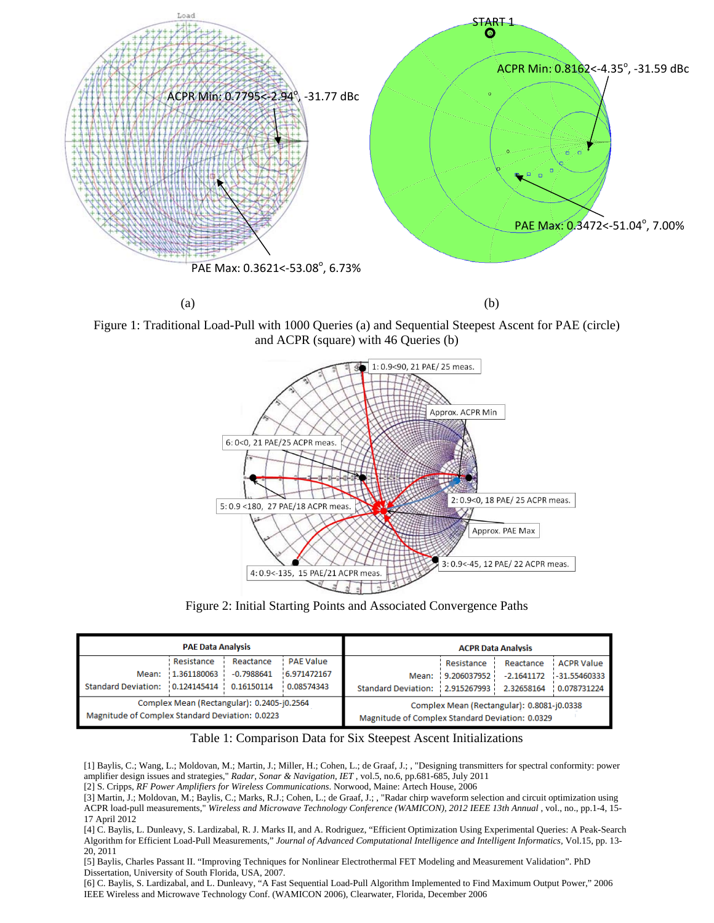

Figure 1: Traditional Load-Pull with 1000 Queries (a) and Sequential Steepest Ascent for PAE (circle) and ACPR (square) with 46 Queries (b)



Figure 2: Initial Starting Points and Associated Convergence Paths

| <b>PAE Data Analysis</b>                        |             |              |                  | <b>ACPR Data Analysis</b>                       |             |              |                   |
|-------------------------------------------------|-------------|--------------|------------------|-------------------------------------------------|-------------|--------------|-------------------|
|                                                 | Resistance  | Reactance    | <b>PAE Value</b> |                                                 | Resistance  | Reactance    | <b>ACPR Value</b> |
| Mean:                                           | 1.361180063 | $-0.7988641$ | 6.971472167      | Mean:                                           | 9.206037952 | $-2.1641172$ | $-31.55460333$    |
| <b>Standard Deviation:</b>                      | 0.124145414 | 0.16150114   | 0.08574343       | Standard Deviation:   2.915267993               |             | 2.32658164   | 0.078731224       |
| Complex Mean (Rectangular): 0.2405-j0.2564      |             |              |                  | Complex Mean (Rectangular): 0.8081-j0.0338      |             |              |                   |
| Magnitude of Complex Standard Deviation: 0.0223 |             |              |                  | Magnitude of Complex Standard Deviation: 0.0329 |             |              |                   |

Table 1: Comparison Data for Six Steepest Ascent Initializations

[1] Baylis, C.; Wang, L.; Moldovan, M.; Martin, J.; Miller, H.; Cohen, L.; de Graaf, J.; , "Designing transmitters for spectral conformity: power amplifier design issues and strategies," *Radar, Sonar & Navigation, IET* , vol.5, no.6, pp.681-685, July 2011

[2] S. Cripps, *RF Power Amplifiers for Wireless Communications*. Norwood, Maine: Artech House, 2006

[3] Martin, J.; Moldovan, M.; Baylis, C.; Marks, R.J.; Cohen, L.; de Graaf, J.; , "Radar chirp waveform selection and circuit optimization using ACPR load-pull measurements," *Wireless and Microwave Technology Conference (WAMICON), 2012 IEEE 13th Annual* , vol., no., pp.1-4, 15- 17 April 2012

[4] C. Baylis, L. Dunleavy, S. Lardizabal, R. J. Marks II, and A. Rodriguez, "Efficient Optimization Using Experimental Queries: A Peak-Search Algorithm for Efficient Load-Pull Measurements," *Journal of Advanced Computational Intelligence and Intelligent Informatics,* Vol.15, pp. 13- 20, 2011

[5] Baylis, Charles Passant II. "Improving Techniques for Nonlinear Electrothermal FET Modeling and Measurement Validation". PhD Dissertation, University of South Florida, USA, 2007.

[6] C. Baylis, S. Lardizabal, and L. Dunleavy, "A Fast Sequential Load-Pull Algorithm Implemented to Find Maximum Output Power," 2006 IEEE Wireless and Microwave Technology Conf. (WAMICON 2006), Clearwater, Florida, December 2006